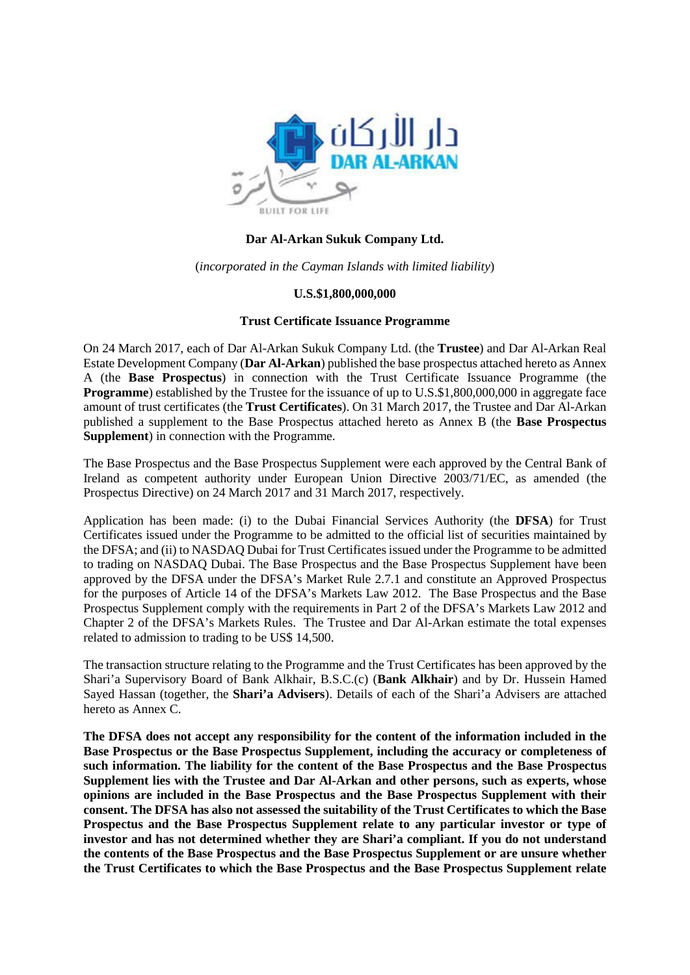

#### **Dar Al-Arkan Sukuk Company Ltd.**

(*incorporated in the Cayman Islands with limited liability*)

#### **U.S.\$1,800,000,000**

#### **Trust Certificate Issuance Programme**

On 24 March 2017, each of Dar Al-Arkan Sukuk Company Ltd. (the **Trustee**) and Dar Al-Arkan Real Estate Development Company (**Dar Al-Arkan**) published the base prospectus attached hereto as Annex A (the **Base Prospectus**) in connection with the Trust Certificate Issuance Programme (the **Programme**) established by the Trustee for the issuance of up to U.S.\$1,800,000,000 in aggregate face amount of trust certificates (the **Trust Certificates**). On 31 March 2017, the Trustee and Dar Al-Arkan published a supplement to the Base Prospectus attached hereto as Annex B (the **Base Prospectus Supplement**) in connection with the Programme.

The Base Prospectus and the Base Prospectus Supplement were each approved by the Central Bank of Ireland as competent authority under European Union Directive 2003/71/EC, as amended (the Prospectus Directive) on 24 March 2017 and 31 March 2017, respectively.

Application has been made: (i) to the Dubai Financial Services Authority (the **DFSA**) for Trust Certificates issued under the Programme to be admitted to the official list of securities maintained by the DFSA; and (ii) to NASDAQ Dubai for Trust Certificates issued under the Programme to be admitted to trading on NASDAQ Dubai. The Base Prospectus and the Base Prospectus Supplement have been approved by the DFSA under the DFSA's Market Rule 2.7.1 and constitute an Approved Prospectus for the purposes of Article 14 of the DFSA's Markets Law 2012. The Base Prospectus and the Base Prospectus Supplement comply with the requirements in Part 2 of the DFSA's Markets Law 2012 and Chapter 2 of the DFSA's Markets Rules. The Trustee and Dar Al-Arkan estimate the total expenses related to admission to trading to be US\$ 14,500.

The transaction structure relating to the Programme and the Trust Certificates has been approved by the Shari'a Supervisory Board of Bank Alkhair, B.S.C.(c) (**Bank Alkhair**) and by Dr. Hussein Hamed Sayed Hassan (together, the **Shari'a Advisers**). Details of each of the Shari'a Advisers are attached hereto as Annex C.

**The DFSA does not accept any responsibility for the content of the information included in the Base Prospectus or the Base Prospectus Supplement, including the accuracy or completeness of such information. The liability for the content of the Base Prospectus and the Base Prospectus Supplement lies with the Trustee and Dar Al-Arkan and other persons, such as experts, whose opinions are included in the Base Prospectus and the Base Prospectus Supplement with their consent. The DFSA has also not assessed the suitability of the Trust Certificates to which the Base Prospectus and the Base Prospectus Supplement relate to any particular investor or type of investor and has not determined whether they are Shari'a compliant. If you do not understand the contents of the Base Prospectus and the Base Prospectus Supplement or are unsure whether the Trust Certificates to which the Base Prospectus and the Base Prospectus Supplement relate**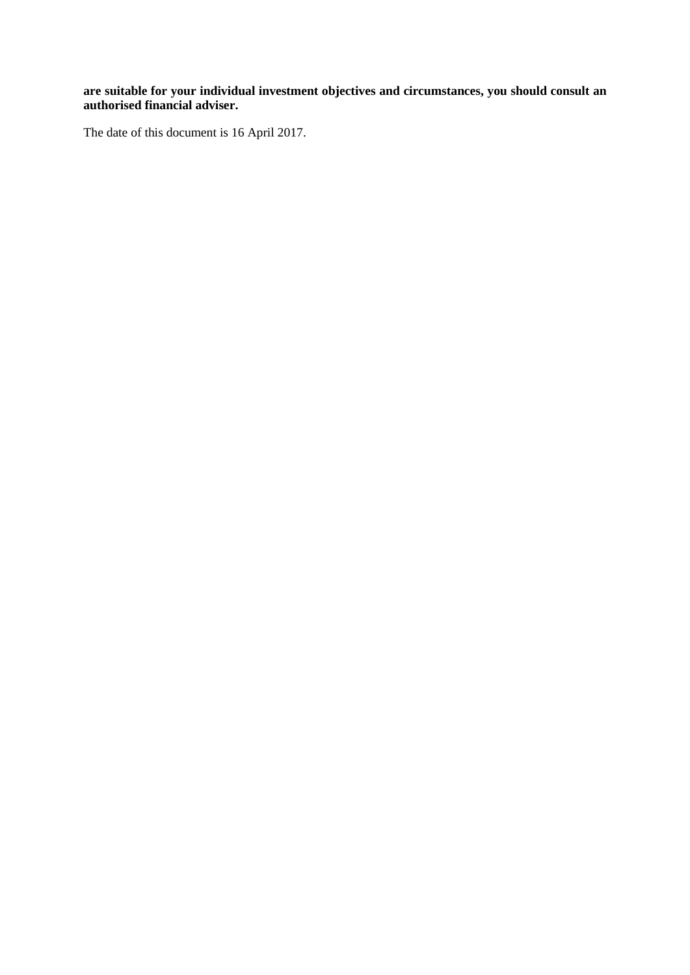**are suitable for your individual investment objectives and circumstances, you should consult an authorised financial adviser.**

The date of this document is 16 April 2017.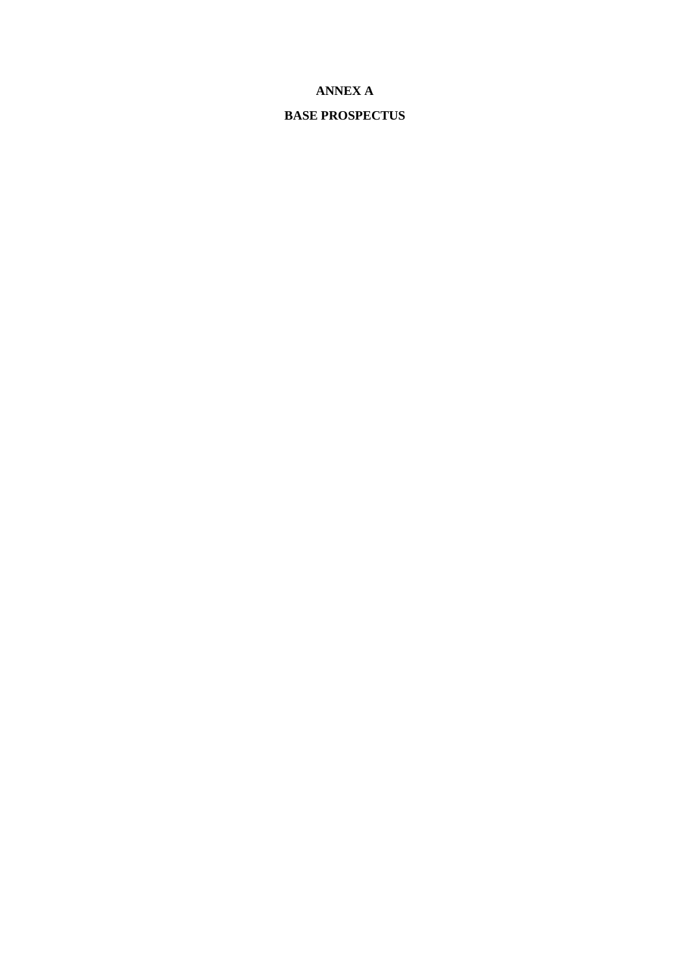# **ANNEX A**

# **BASE PROSPECTUS**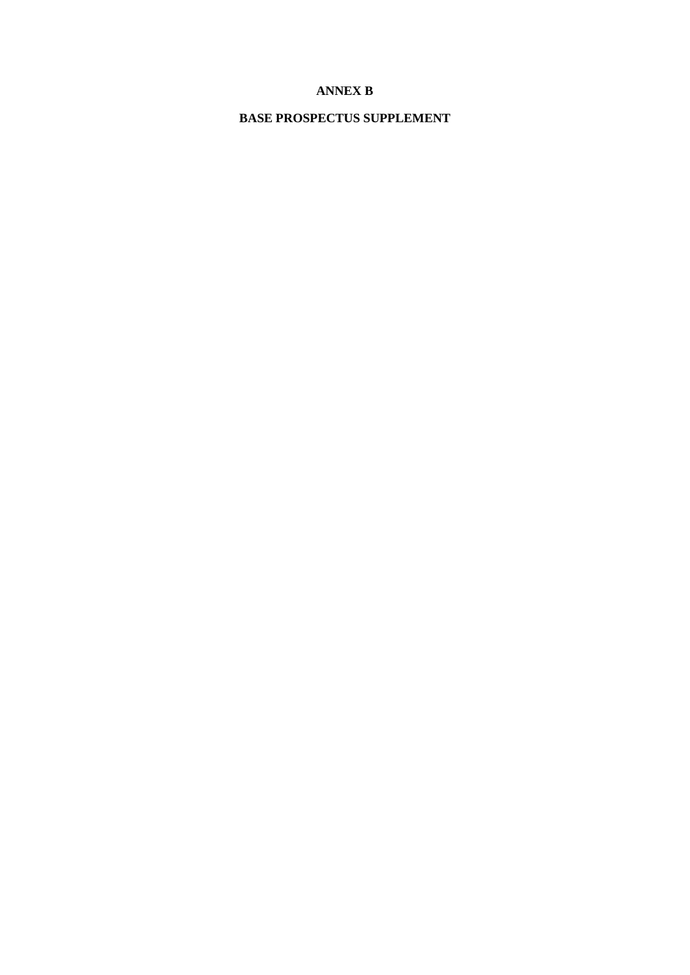# **ANNEX B**

# **BASE PROSPECTUS SUPPLEMENT**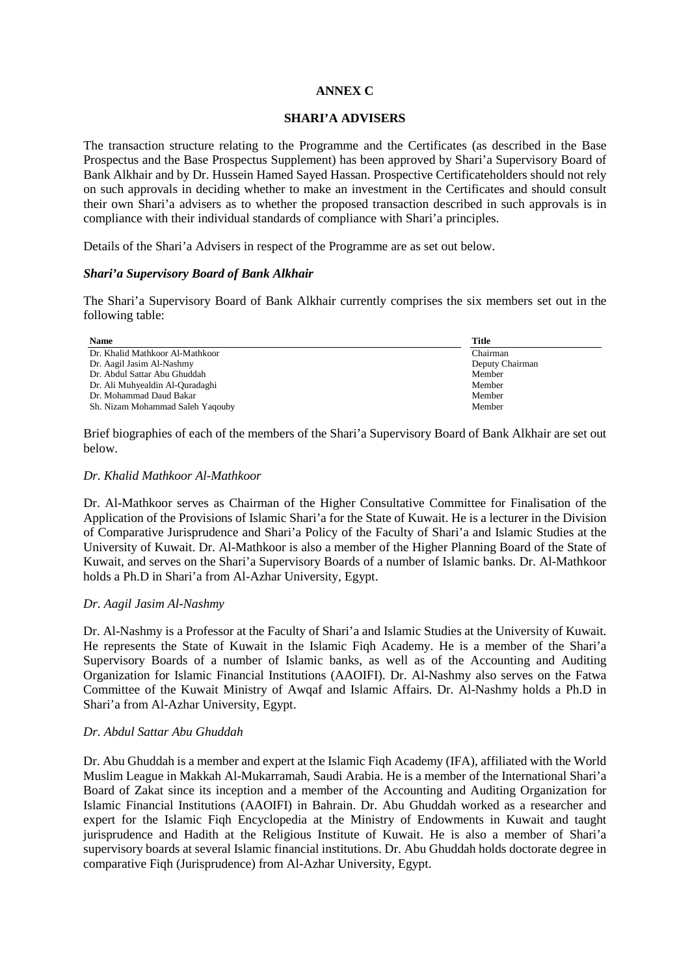# **ANNEX C**

### **SHARI'A ADVISERS**

The transaction structure relating to the Programme and the Certificates (as described in the Base Prospectus and the Base Prospectus Supplement) has been approved by Shari'a Supervisory Board of Bank Alkhair and by Dr. Hussein Hamed Sayed Hassan. Prospective Certificateholders should not rely on such approvals in deciding whether to make an investment in the Certificates and should consult their own Shari'a advisers as to whether the proposed transaction described in such approvals is in compliance with their individual standards of compliance with Shari'a principles.

Details of the Shari'a Advisers in respect of the Programme are as set out below.

### *Shari'a Supervisory Board of Bank Alkhair*

The Shari'a Supervisory Board of Bank Alkhair currently comprises the six members set out in the following table:

| <b>Name</b>                      | Title           |
|----------------------------------|-----------------|
| Dr. Khalid Mathkoor Al-Mathkoor  | Chairman        |
| Dr. Aagil Jasim Al-Nashmy        | Deputy Chairman |
| Dr. Abdul Sattar Abu Ghuddah     | Member          |
| Dr. Ali Muhyealdin Al-Quradaghi  | Member          |
| Dr. Mohammad Daud Bakar          | Member          |
| Sh. Nizam Mohammad Saleh Yaqouby | Member          |

Brief biographies of each of the members of the Shari'a Supervisory Board of Bank Alkhair are set out below.

#### *Dr. Khalid Mathkoor Al-Mathkoor*

Dr. Al-Mathkoor serves as Chairman of the Higher Consultative Committee for Finalisation of the Application of the Provisions of Islamic Shari'a for the State of Kuwait. He is a lecturer in the Division of Comparative Jurisprudence and Shari'a Policy of the Faculty of Shari'a and Islamic Studies at the University of Kuwait. Dr. Al-Mathkoor is also a member of the Higher Planning Board of the State of Kuwait, and serves on the Shari'a Supervisory Boards of a number of Islamic banks. Dr. Al-Mathkoor holds a Ph.D in Shari'a from Al-Azhar University, Egypt.

#### *Dr. Aagil Jasim Al-Nashmy*

Dr. Al-Nashmy is a Professor at the Faculty of Shari'a and Islamic Studies at the University of Kuwait. He represents the State of Kuwait in the Islamic Fiqh Academy. He is a member of the Shari'a Supervisory Boards of a number of Islamic banks, as well as of the Accounting and Auditing Organization for Islamic Financial Institutions (AAOIFI). Dr. Al-Nashmy also serves on the Fatwa Committee of the Kuwait Ministry of Awqaf and Islamic Affairs. Dr. Al-Nashmy holds a Ph.D in Shari'a from Al-Azhar University, Egypt.

#### *Dr. Abdul Sattar Abu Ghuddah*

Dr. Abu Ghuddah is a member and expert at the Islamic Fiqh Academy (IFA), affiliated with the World Muslim League in Makkah Al-Mukarramah, Saudi Arabia. He is a member of the International Shari'a Board of Zakat since its inception and a member of the Accounting and Auditing Organization for Islamic Financial Institutions (AAOIFI) in Bahrain. Dr. Abu Ghuddah worked as a researcher and expert for the Islamic Fiqh Encyclopedia at the Ministry of Endowments in Kuwait and taught jurisprudence and Hadith at the Religious Institute of Kuwait. He is also a member of Shari'a supervisory boards at several Islamic financial institutions. Dr. Abu Ghuddah holds doctorate degree in comparative Fiqh (Jurisprudence) from Al-Azhar University, Egypt.